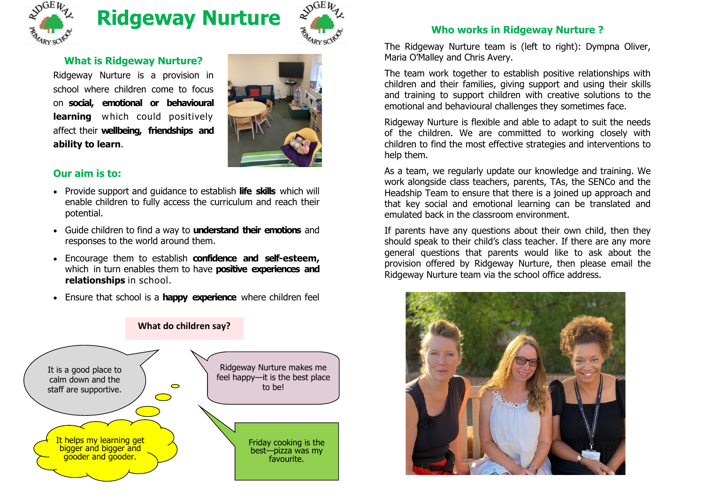

# **Ridgeway Nurture**



## **What is Ridgeway Nurture?**

Ridgeway Nurture is a provision in school where children come to focus on **social, emotional or behavioural learning** which could positively affect their **wellbeing, friendships and ability to learn**.



### **Our aim is to:**

- Provide support and guidance to establish **life skills** which will enable children to fully access the curriculum and reach their potential.
- Guide children to find a way to **understand their emotions** and responses to the world around them.
- Encourage them to establish **confidence and self-esteem,**  which in turn enables them to have **positive experiences and relationships** in school.
- Ensure that school is a **happy experience** where children feel



# **Who works in Ridgeway Nurture ?**

The Ridgeway Nurture team is (left to right): Dympna Oliver, Maria O'Malley and Chris Avery.

The team work together to establish positive relationships with children and their families, giving support and using their skills and training to support children with creative solutions to the emotional and behavioural challenges they sometimes face.

Ridgeway Nurture is flexible and able to adapt to suit the needs of the children. We are committed to working closely with children to find the most effective strategies and interventions to help them.

As a team, we regularly update our knowledge and training. We work alongside class teachers, parents, TAs, the SENCo and the Headship Team to ensure that there is a joined up approach and that key social and emotional learning can be translated and emulated back in the classroom environment.

If parents have any questions about their own child, then they should speak to their child's class teacher. If there are any more general questions that parents would like to ask about the provision offered by Ridgeway Nurture, then please email the Ridgeway Nurture team via the school office address.